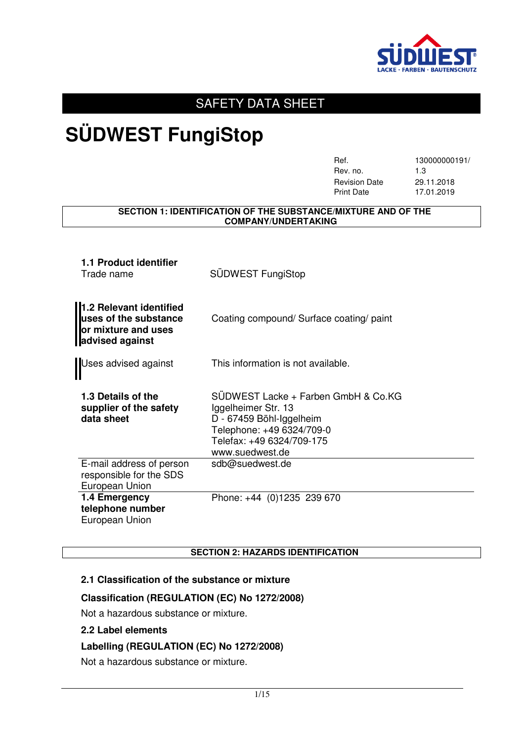

### SAFETY DATA SHEET

## **SÜDWEST FungiStop**

| Ref.                 | 130000000191/ |
|----------------------|---------------|
| Rev. no.             | 1.3           |
| <b>Revision Date</b> | 29.11.2018    |
| <b>Print Date</b>    | 17.01.2019    |

#### **SECTION 1: IDENTIFICATION OF THE SUBSTANCE/MIXTURE AND OF THE COMPANY/UNDERTAKING**

| 1.1 Product identifier<br>Trade name                                                       | SÜDWEST FungiStop                                                                                                                                                   |
|--------------------------------------------------------------------------------------------|---------------------------------------------------------------------------------------------------------------------------------------------------------------------|
| 1.2 Relevant identified<br>uses of the substance<br>or mixture and uses<br>advised against | Coating compound/ Surface coating/ paint                                                                                                                            |
| Uses advised against                                                                       | This information is not available.                                                                                                                                  |
| 1.3 Details of the<br>supplier of the safety<br>data sheet                                 | SUDWEST Lacke + Farben GmbH & Co.KG<br>Iggelheimer Str. 13<br>D - 67459 Böhl-Iggelheim<br>Telephone: +49 6324/709-0<br>Telefax: +49 6324/709-175<br>www.suedwest.de |
| E-mail address of person<br>responsible for the SDS<br>European Union                      | sdb@suedwest.de                                                                                                                                                     |
| 1.4 Emergency<br>telephone number<br>European Union                                        | Phone: +44 (0)1235 239 670                                                                                                                                          |

#### **SECTION 2: HAZARDS IDENTIFICATION**

#### **2.1 Classification of the substance or mixture**

#### **Classification (REGULATION (EC) No 1272/2008)**

Not a hazardous substance or mixture.

#### **2.2 Label elements**

#### **Labelling (REGULATION (EC) No 1272/2008)**

Not a hazardous substance or mixture.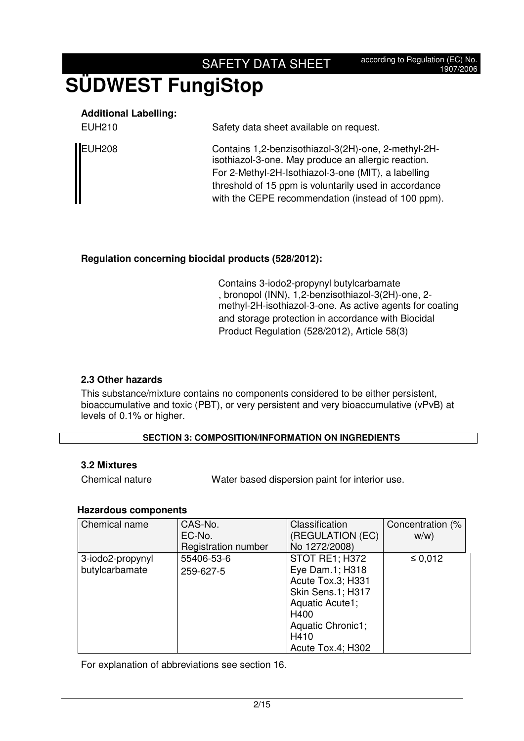## **SÜDWEST FungiStop**

### **Additional Labelling:**

| Safety data sheet available on request. |
|-----------------------------------------|
|                                         |

EUH208 Contains 1,2-benzisothiazol-3(2H)-one, 2-methyl-2Hisothiazol-3-one. May produce an allergic reaction. For 2-Methyl-2H-Isothiazol-3-one (MIT), a labelling threshold of 15 ppm is voluntarily used in accordance with the CEPE recommendation (instead of 100 ppm).

### **Regulation concerning biocidal products (528/2012):**

Contains 3-iodo2-propynyl butylcarbamate , bronopol (INN), 1,2-benzisothiazol-3(2H)-one, 2 methyl-2H-isothiazol-3-one. As active agents for coating and storage protection in accordance with Biocidal Product Regulation (528/2012), Article 58(3)

### **2.3 Other hazards**

This substance/mixture contains no components considered to be either persistent, bioaccumulative and toxic (PBT), or very persistent and very bioaccumulative (vPvB) at levels of 0.1% or higher.

### **SECTION 3: COMPOSITION/INFORMATION ON INGREDIENTS**

#### **3.2 Mixtures**

Chemical nature Water based dispersion paint for interior use.

### **Hazardous components**

| Chemical name    | CAS-No.             | Classification           | Concentration (% |
|------------------|---------------------|--------------------------|------------------|
|                  | EC-No.              | (REGULATION (EC)         | W/W              |
|                  | Registration number | No 1272/2008)            |                  |
| 3-iodo2-propynyl | 55406-53-6          | STOT RE1; H372           | $\leq 0.012$     |
| butylcarbamate   | 259-627-5           | Eye Dam.1; H318          |                  |
|                  |                     | Acute Tox.3; H331        |                  |
|                  |                     | <b>Skin Sens.1; H317</b> |                  |
|                  |                     | Aquatic Acute1;          |                  |
|                  |                     | H400                     |                  |
|                  |                     | Aquatic Chronic1;        |                  |
|                  |                     | H410                     |                  |
|                  |                     | Acute Tox.4; H302        |                  |

For explanation of abbreviations see section 16.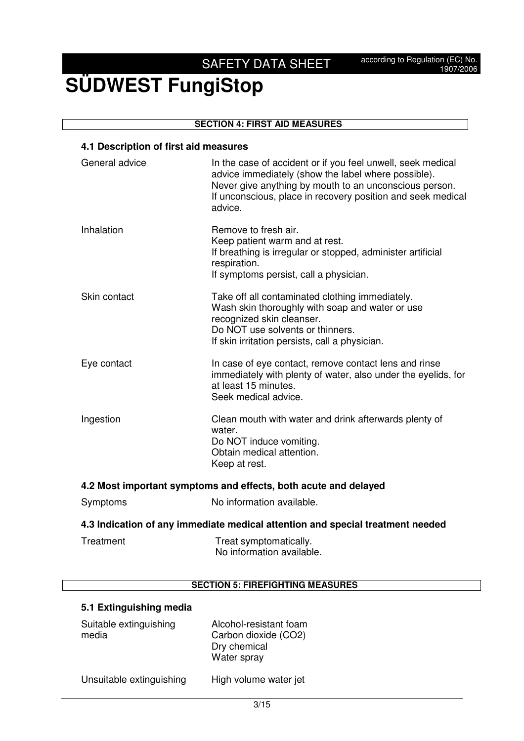## **SÜDWEST FungiStop**

#### **SECTION 4: FIRST AID MEASURES**

#### **4.1 Description of first aid measures**

| General advice                                                                 | In the case of accident or if you feel unwell, seek medical<br>advice immediately (show the label where possible).<br>Never give anything by mouth to an unconscious person.<br>If unconscious, place in recovery position and seek medical<br>advice. |  |
|--------------------------------------------------------------------------------|--------------------------------------------------------------------------------------------------------------------------------------------------------------------------------------------------------------------------------------------------------|--|
| Inhalation                                                                     | Remove to fresh air.<br>Keep patient warm and at rest.<br>If breathing is irregular or stopped, administer artificial<br>respiration.<br>If symptoms persist, call a physician.                                                                        |  |
| Skin contact                                                                   | Take off all contaminated clothing immediately.<br>Wash skin thoroughly with soap and water or use<br>recognized skin cleanser.<br>Do NOT use solvents or thinners.<br>If skin irritation persists, call a physician.                                  |  |
| Eye contact                                                                    | In case of eye contact, remove contact lens and rinse<br>immediately with plenty of water, also under the eyelids, for<br>at least 15 minutes.<br>Seek medical advice.                                                                                 |  |
| Ingestion                                                                      | Clean mouth with water and drink afterwards plenty of<br>water.<br>Do NOT induce vomiting.<br>Obtain medical attention.<br>Keep at rest.                                                                                                               |  |
| 4.2 Most important symptoms and effects, both acute and delayed                |                                                                                                                                                                                                                                                        |  |
| Symptoms                                                                       | No information available.                                                                                                                                                                                                                              |  |
| 4.3 Indication of any immediate medical attention and special treatment needed |                                                                                                                                                                                                                                                        |  |
| Trootmont                                                                      | Troot cumptamatically                                                                                                                                                                                                                                  |  |

| Treatment | Treat symptomatically.    |
|-----------|---------------------------|
|           | No information available. |

### **SECTION 5: FIREFIGHTING MEASURES**

### **5.1 Extinguishing media**

| Suitable extinguishing<br>media | Alcohol-resistant foam<br>Carbon dioxide (CO2)<br>Dry chemical<br>Water spray |
|---------------------------------|-------------------------------------------------------------------------------|
| Unsuitable extinguishing        | High volume water jet                                                         |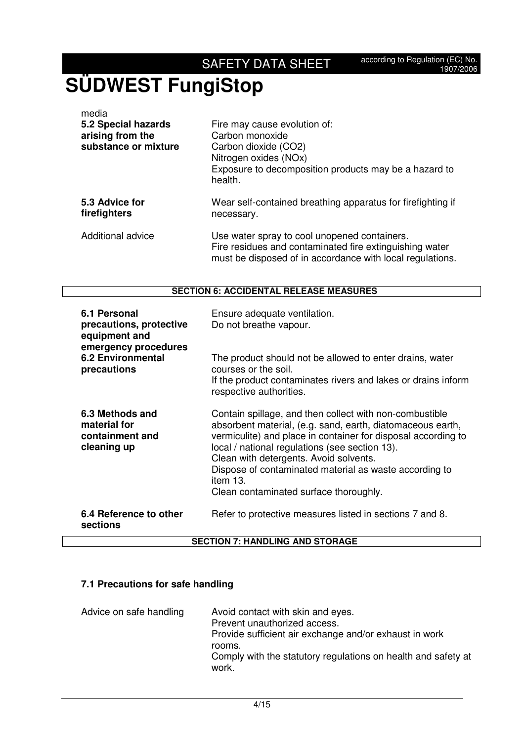| media<br>5.2 Special hazards<br>arising from the<br>substance or mixture | Fire may cause evolution of:<br>Carbon monoxide<br>Carbon dioxide (CO2)<br>Nitrogen oxides (NOx)<br>Exposure to decomposition products may be a hazard to<br>health. |
|--------------------------------------------------------------------------|----------------------------------------------------------------------------------------------------------------------------------------------------------------------|
| 5.3 Advice for<br>firefighters                                           | Wear self-contained breathing apparatus for firefighting if<br>necessary.                                                                                            |
| Additional advice                                                        | Use water spray to cool unopened containers.<br>Fire residues and contaminated fire extinguishing water                                                              |

#### **SECTION 6: ACCIDENTAL RELEASE MEASURES**

must be disposed of in accordance with local regulations.

| 6.1 Personal<br>precautions, protective<br>equipment and<br>emergency procedures<br><b>6.2 Environmental</b><br>precautions | Ensure adequate ventilation.<br>Do not breathe vapour.                                                                                                                                                                                                                                                                                                                                             |  |
|-----------------------------------------------------------------------------------------------------------------------------|----------------------------------------------------------------------------------------------------------------------------------------------------------------------------------------------------------------------------------------------------------------------------------------------------------------------------------------------------------------------------------------------------|--|
|                                                                                                                             | The product should not be allowed to enter drains, water<br>courses or the soil.<br>If the product contaminates rivers and lakes or drains inform<br>respective authorities.                                                                                                                                                                                                                       |  |
| 6.3 Methods and<br>material for<br>containment and<br>cleaning up                                                           | Contain spillage, and then collect with non-combustible<br>absorbent material, (e.g. sand, earth, diatomaceous earth,<br>vermiculite) and place in container for disposal according to<br>local / national regulations (see section 13).<br>Clean with detergents. Avoid solvents.<br>Dispose of contaminated material as waste according to<br>item 13.<br>Clean contaminated surface thoroughly. |  |
| 6.4 Reference to other<br>sections                                                                                          | Refer to protective measures listed in sections 7 and 8.                                                                                                                                                                                                                                                                                                                                           |  |
| <b>SECTION 7: HANDLING AND STORAGE</b>                                                                                      |                                                                                                                                                                                                                                                                                                                                                                                                    |  |

#### **SECTION 7: HANDLING AND STORAGE**

### **7.1 Precautions for safe handling**

| Advice on safe handling | Avoid contact with skin and eyes.<br>Prevent unauthorized access.<br>Provide sufficient air exchange and/or exhaust in work<br>rooms.<br>Comply with the statutory regulations on health and safety at<br>work. |
|-------------------------|-----------------------------------------------------------------------------------------------------------------------------------------------------------------------------------------------------------------|
|                         |                                                                                                                                                                                                                 |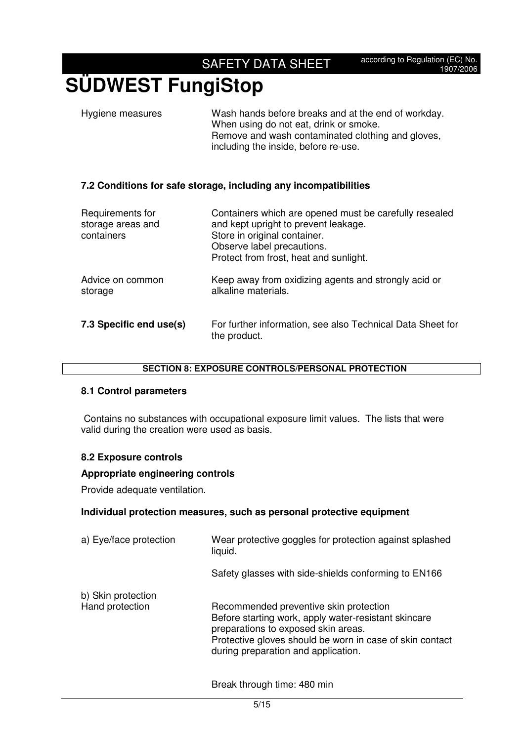## **SÜDWEST FungiStop**

| Hygiene measures | Wash hands before breaks and at the end of workday.<br>When using do not eat, drink or smoke.<br>Remove and wash contaminated clothing and gloves,<br>including the inside, before re-use. |
|------------------|--------------------------------------------------------------------------------------------------------------------------------------------------------------------------------------------|
|                  |                                                                                                                                                                                            |

#### **7.2 Conditions for safe storage, including any incompatibilities**

| Requirements for<br>storage areas and<br>containers | Containers which are opened must be carefully resealed<br>and kept upright to prevent leakage.<br>Store in original container.<br>Observe label precautions.<br>Protect from frost, heat and sunlight. |
|-----------------------------------------------------|--------------------------------------------------------------------------------------------------------------------------------------------------------------------------------------------------------|
| Advice on common<br>storage                         | Keep away from oxidizing agents and strongly acid or<br>alkaline materials.                                                                                                                            |
| 7.3 Specific end use(s)                             | For further information, see also Technical Data Sheet for<br>the product.                                                                                                                             |

#### **SECTION 8: EXPOSURE CONTROLS/PERSONAL PROTECTION**

#### **8.1 Control parameters**

Contains no substances with occupational exposure limit values. The lists that were valid during the creation were used as basis.

#### **8.2 Exposure controls**

#### **Appropriate engineering controls**

Provide adequate ventilation.

#### **Individual protection measures, such as personal protective equipment**

| a) Eye/face protection                | Wear protective goggles for protection against splashed<br>liquid.                                                                                                                                                                       |
|---------------------------------------|------------------------------------------------------------------------------------------------------------------------------------------------------------------------------------------------------------------------------------------|
|                                       | Safety glasses with side-shields conforming to EN166                                                                                                                                                                                     |
| b) Skin protection<br>Hand protection | Recommended preventive skin protection<br>Before starting work, apply water-resistant skincare<br>preparations to exposed skin areas.<br>Protective gloves should be worn in case of skin contact<br>during preparation and application. |

Break through time: 480 min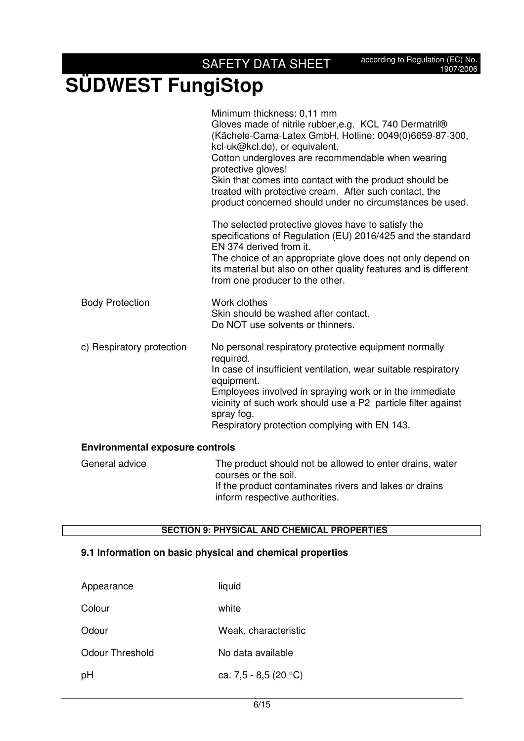|                                        | Minimum thickness: 0,11 mm<br>Gloves made of nitrile rubber, e.g. KCL 740 Dermatril®<br>(Kächele-Cama-Latex GmbH, Hotline: 0049(0)6659-87-300,<br>kcl-uk@kcl.de), or equivalent.<br>Cotton undergloves are recommendable when wearing<br>protective gloves!<br>Skin that comes into contact with the product should be<br>treated with protective cream. After such contact, the<br>product concerned should under no circumstances be used. |
|----------------------------------------|----------------------------------------------------------------------------------------------------------------------------------------------------------------------------------------------------------------------------------------------------------------------------------------------------------------------------------------------------------------------------------------------------------------------------------------------|
|                                        | The selected protective gloves have to satisfy the<br>specifications of Regulation (EU) 2016/425 and the standard<br>EN 374 derived from it.                                                                                                                                                                                                                                                                                                 |
|                                        | The choice of an appropriate glove does not only depend on<br>its material but also on other quality features and is different<br>from one producer to the other.                                                                                                                                                                                                                                                                            |
| <b>Body Protection</b>                 | Work clothes<br>Skin should be washed after contact.<br>Do NOT use solvents or thinners.                                                                                                                                                                                                                                                                                                                                                     |
| c) Respiratory protection              | No personal respiratory protective equipment normally<br>required.                                                                                                                                                                                                                                                                                                                                                                           |
|                                        | In case of insufficient ventilation, wear suitable respiratory<br>equipment.                                                                                                                                                                                                                                                                                                                                                                 |
|                                        | Employees involved in spraying work or in the immediate<br>vicinity of such work should use a P2 particle filter against                                                                                                                                                                                                                                                                                                                     |
|                                        | spray fog.<br>Respiratory protection complying with EN 143.                                                                                                                                                                                                                                                                                                                                                                                  |
| <b>Environmental exposure controls</b> |                                                                                                                                                                                                                                                                                                                                                                                                                                              |

#### General advice The product should not be allowed to enter drains, water courses or the soil. If the product contaminates rivers and lakes or drains inform respective authorities.

#### **SECTION 9: PHYSICAL AND CHEMICAL PROPERTIES**

#### **9.1 Information on basic physical and chemical properties**

| Appearance      | liquid                |
|-----------------|-----------------------|
| Colour          | white                 |
| Odour           | Weak, characteristic  |
| Odour Threshold | No data available     |
| рH              | ca. 7,5 - 8,5 (20 °C) |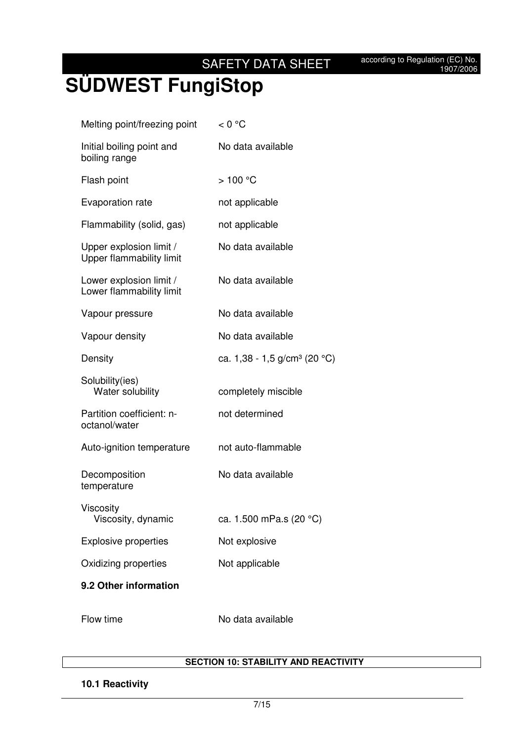# **SÜDWEST FungiStop**

| 9.2 Other information                               |                                            |
|-----------------------------------------------------|--------------------------------------------|
| Oxidizing properties                                | Not applicable                             |
| <b>Explosive properties</b>                         | Not explosive                              |
| Viscosity<br>Viscosity, dynamic                     | ca. 1.500 mPa.s (20 °C)                    |
| Decomposition<br>temperature                        | No data available                          |
| Auto-ignition temperature                           | not auto-flammable                         |
| Partition coefficient: n-<br>octanol/water          | not determined                             |
| Solubility(ies)<br>Water solubility                 | completely miscible                        |
| Density                                             | ca. $1,38 - 1,5$ g/cm <sup>3</sup> (20 °C) |
| Vapour density                                      | No data available                          |
| Vapour pressure                                     | No data available                          |
| Lower explosion limit /<br>Lower flammability limit | No data available                          |
| Upper explosion limit /<br>Upper flammability limit | No data available                          |
| Flammability (solid, gas)                           | not applicable                             |
| Evaporation rate                                    | not applicable                             |
| Flash point                                         | >100 °C                                    |
| Initial boiling point and<br>boiling range          | No data available                          |
| Melting point/freezing point                        | < 0 °C                                     |

Flow time No data available

#### **SECTION 10: STABILITY AND REACTIVITY**

#### **10.1 Reactivity**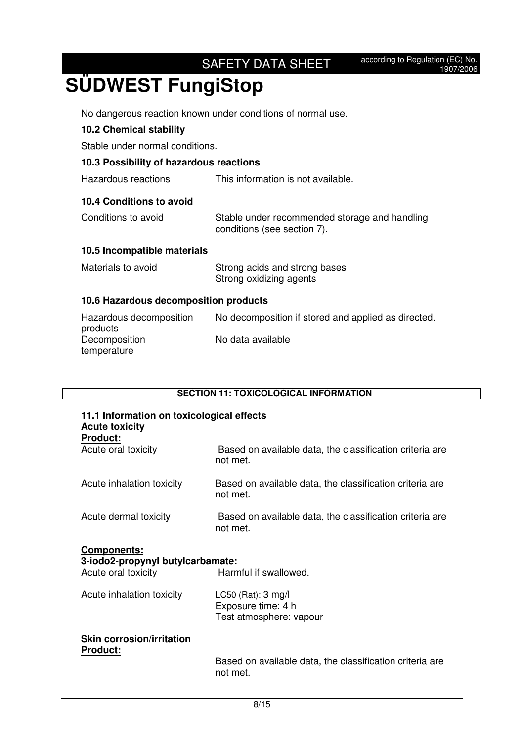No dangerous reaction known under conditions of normal use.

#### **10.2 Chemical stability**

Stable under normal conditions.

#### **10.3 Possibility of hazardous reactions**

Hazardous reactions This information is not available.

#### **10.4 Conditions to avoid**

| Conditions to avoid | Stable under recommended storage and handling |
|---------------------|-----------------------------------------------|
|                     | conditions (see section 7).                   |

#### **10.5 Incompatible materials**

| Materials to avoid | Strong acids and strong bases |
|--------------------|-------------------------------|
|                    | Strong oxidizing agents       |

#### **10.6 Hazardous decomposition products**

| Hazardous decomposition | No decomposition if stored and applied as directed. |
|-------------------------|-----------------------------------------------------|
| products                |                                                     |
| Decomposition           | No data available                                   |
| temperature             |                                                     |

#### **SECTION 11: TOXICOLOGICAL INFORMATION**

| 11.1 Information on toxicological effects<br><b>Acute toxicity</b><br><b>Product:</b> |                                                                      |  |
|---------------------------------------------------------------------------------------|----------------------------------------------------------------------|--|
| Acute oral toxicity                                                                   | Based on available data, the classification criteria are<br>not met. |  |
| Acute inhalation toxicity                                                             | Based on available data, the classification criteria are<br>not met. |  |
| Acute dermal toxicity                                                                 | Based on available data, the classification criteria are<br>not met. |  |
| <b>Components:</b><br>2.iodo2.propynyl.butyloarhamato:                                |                                                                      |  |

#### **3-iodo2-propynyl butylcarbamate:**  Acute oral toxicity **Harmful if swallowed.**

| Acute inhalation toxicity | LC50 (Rat): $3 \text{ mg/l}$<br>Exposure time: 4 h |
|---------------------------|----------------------------------------------------|
|                           | Test atmosphere: vapour                            |

#### **Skin corrosion/irritation Product:**

 Based on available data, the classification criteria are not met.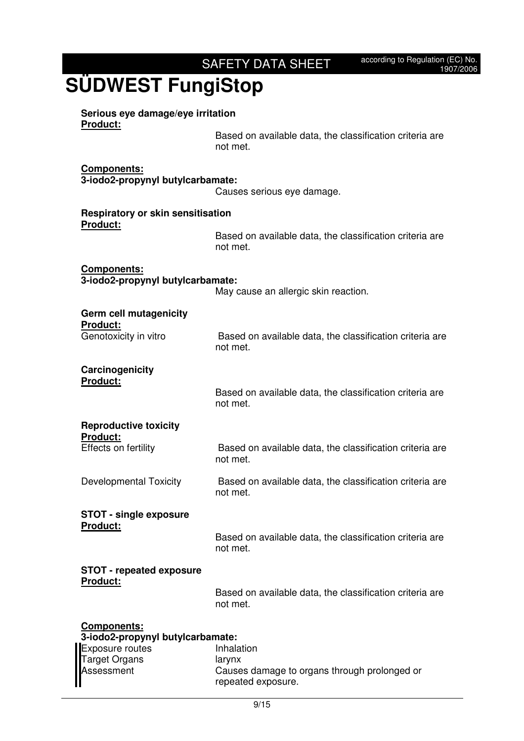| Product:                                                    | Based on available data, the classification criteria are<br>not met. |
|-------------------------------------------------------------|----------------------------------------------------------------------|
| Components:<br>3-iodo2-propynyl butylcarbamate:             | Causes serious eye damage.                                           |
| <b>Respiratory or skin sensitisation</b><br><b>Product:</b> |                                                                      |
|                                                             | Based on available data, the classification criteria are<br>not met. |
| <b>Components:</b><br>3-iodo2-propynyl butylcarbamate:      | May cause an allergic skin reaction.                                 |
| Germ cell mutagenicity                                      |                                                                      |
| <b>Product:</b><br>Genotoxicity in vitro                    | Based on available data, the classification criteria are<br>not met. |
| Carcinogenicity                                             |                                                                      |
| <b>Product:</b>                                             | Based on available data, the classification criteria are<br>not met. |
| <b>Reproductive toxicity</b>                                |                                                                      |
| <b>Product:</b><br>Effects on fertility                     | Based on available data, the classification criteria are<br>not met. |
| <b>Developmental Toxicity</b>                               | Based on available data, the classification criteria are<br>not met. |
| <b>STOT - single exposure</b>                               |                                                                      |
| Product:                                                    | Based on available data, the classification criteria are<br>not met. |
| <b>STOT - repeated exposure</b>                             |                                                                      |
| Product:                                                    | Based on available data, the classification criteria are<br>not met. |
| Components:                                                 |                                                                      |
| 3-iodo2-propynyl butylcarbamate:<br>Exposure routes         | Inhalation                                                           |
| <b>Target Organs</b><br>Assessment                          | larynx<br>Causes damage to organs through prolonged or               |
|                                                             | repeated exposure.                                                   |

**Serious eye damage/eye irritation**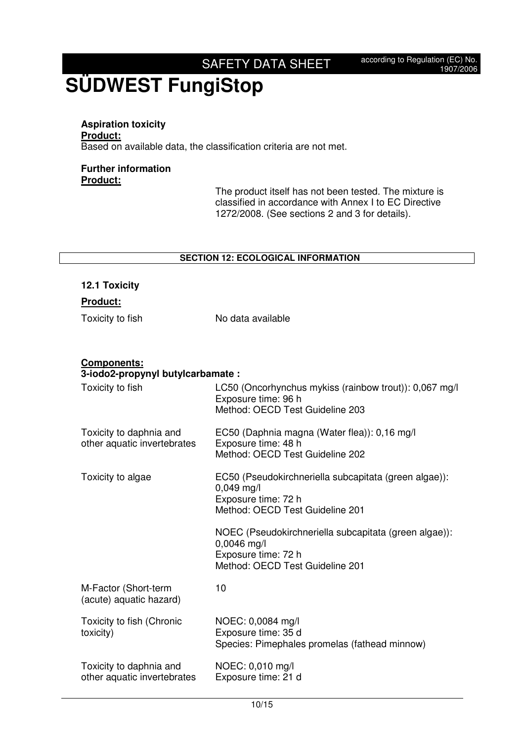### **Aspiration toxicity Product:**

Based on available data, the classification criteria are not met.

#### **Further information Product:**

**12.1 Toxicity** 

 The product itself has not been tested. The mixture is classified in accordance with Annex I to EC Directive 1272/2008. (See sections 2 and 3 for details).

#### **SECTION 12: ECOLOGICAL INFORMATION**

| Product:                                                |                                                                               |
|---------------------------------------------------------|-------------------------------------------------------------------------------|
| Toxicity to fish                                        | No data available                                                             |
|                                                         |                                                                               |
|                                                         |                                                                               |
| <b>Components:</b><br>3-iodo2-propynyl butylcarbamate : |                                                                               |
| Toxicity to fish                                        | LC50 (Oncorhynchus mykiss (rainbow trout)): 0,067 mg/l<br>Exposure time: 96 h |
|                                                         | Method: OECD Test Guideline 203                                               |
| Toxicity to daphnia and<br>other aquatic invertebrates  | EC50 (Daphnia magna (Water flea)): 0,16 mg/l<br>Exposure time: 48 h           |
|                                                         | Method: OECD Test Guideline 202                                               |
| Toxicity to algae                                       | EC50 (Pseudokirchneriella subcapitata (green algae)):<br>$0,049$ mg/l         |
|                                                         | Exposure time: 72 h                                                           |
|                                                         | Method: OECD Test Guideline 201                                               |
|                                                         | NOEC (Pseudokirchneriella subcapitata (green algae)):<br>0,0046 mg/l          |
|                                                         | Exposure time: 72 h                                                           |
|                                                         | Method: OECD Test Guideline 201                                               |
| M-Factor (Short-term<br>(acute) aquatic hazard)         | 10                                                                            |
| Toxicity to fish (Chronic                               | NOEC: 0,0084 mg/l                                                             |
| toxicity)                                               | Exposure time: 35 d<br>Species: Pimephales promelas (fathead minnow)          |
| Toxicity to daphnia and                                 | NOEC: 0,010 mg/l                                                              |
| other aquatic invertebrates                             | Exposure time: 21 d                                                           |
|                                                         |                                                                               |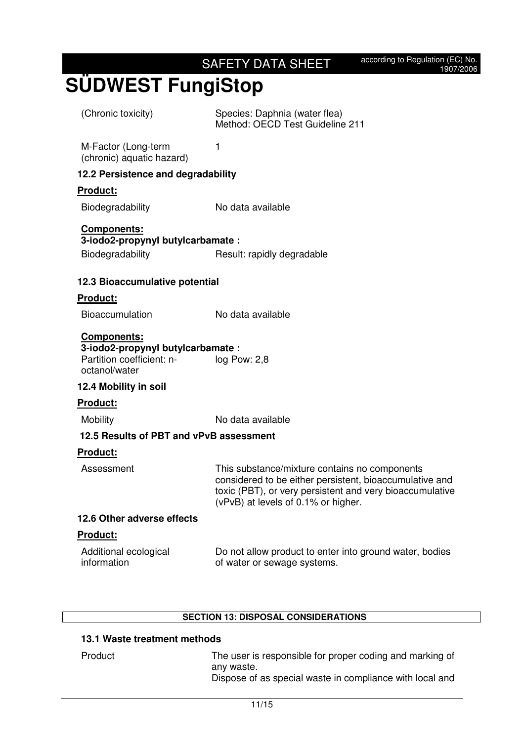| (Chronic toxicity)                                                                                   | Species: Daphnia (water flea)<br>Method: OECD Test Guideline 211                                                                                                                                            |
|------------------------------------------------------------------------------------------------------|-------------------------------------------------------------------------------------------------------------------------------------------------------------------------------------------------------------|
| M-Factor (Long-term<br>(chronic) aquatic hazard)                                                     | 1                                                                                                                                                                                                           |
| 12.2 Persistence and degradability                                                                   |                                                                                                                                                                                                             |
| Product:                                                                                             |                                                                                                                                                                                                             |
| Biodegradability                                                                                     | No data available                                                                                                                                                                                           |
| <b>Components:</b><br>3-iodo2-propynyl butylcarbamate:                                               |                                                                                                                                                                                                             |
| Biodegradability                                                                                     | Result: rapidly degradable                                                                                                                                                                                  |
| 12.3 Bioaccumulative potential                                                                       |                                                                                                                                                                                                             |
| <b>Product:</b>                                                                                      |                                                                                                                                                                                                             |
| <b>Bioaccumulation</b>                                                                               | No data available                                                                                                                                                                                           |
| <b>Components:</b><br>3-iodo2-propynyl butylcarbamate:<br>Partition coefficient: n-<br>octanol/water | $log$ Pow: 2,8                                                                                                                                                                                              |
| 12.4 Mobility in soil                                                                                |                                                                                                                                                                                                             |
| Product:                                                                                             |                                                                                                                                                                                                             |
| <b>Mobility</b>                                                                                      | No data available                                                                                                                                                                                           |
| 12.5 Results of PBT and vPvB assessment                                                              |                                                                                                                                                                                                             |
| <b>Product:</b>                                                                                      |                                                                                                                                                                                                             |
| Assessment                                                                                           | This substance/mixture contains no components<br>considered to be either persistent, bioaccumulative and<br>toxic (PBT), or very persistent and very bioaccumulative<br>(vPvB) at levels of 0.1% or higher. |
| 12.6 Other adverse effects                                                                           |                                                                                                                                                                                                             |
| <u>Product:</u>                                                                                      |                                                                                                                                                                                                             |
| Additional ecological<br>information                                                                 | Do not allow product to enter into ground water, bodies<br>of water or sewage systems.                                                                                                                      |
|                                                                                                      |                                                                                                                                                                                                             |

#### **SECTION 13: DISPOSAL CONSIDERATIONS**

#### **13.1 Waste treatment methods**

| Product | The user is responsible for proper coding and marking of<br>any waste. |
|---------|------------------------------------------------------------------------|
|         | Dispose of as special waste in compliance with local and               |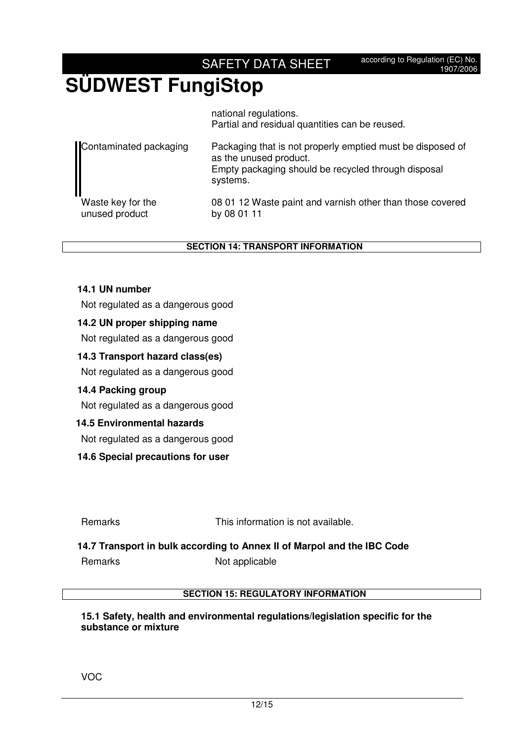### **SÜDWEST FungiStop**

national regulations. Partial and residual quantities can be reused.

| Contaminated packaging | Packaging that is not properly emptied must be disposed of<br>as the unused product.<br>Empty packaging should be recycled through disposal<br>systems. |
|------------------------|---------------------------------------------------------------------------------------------------------------------------------------------------------|
| Waste key for the      | 08 01 12 Waste paint and varnish other than those covered                                                                                               |
| unused product         | by 08 01 11                                                                                                                                             |

**SECTION 14: TRANSPORT INFORMATION**

#### **14.1 UN number**

Not regulated as a dangerous good

#### **14.2 UN proper shipping name**

Not regulated as a dangerous good

#### **14.3 Transport hazard class(es)**

Not regulated as a dangerous good

#### **14.4 Packing group**

Not regulated as a dangerous good

#### **14.5 Environmental hazards**

Not regulated as a dangerous good

#### **14.6 Special precautions for user**

Remarks This information is not available.

#### **14.7 Transport in bulk according to Annex II of Marpol and the IBC Code**

Remarks Not applicable

#### **SECTION 15: REGULATORY INFORMATION**

#### **15.1 Safety, health and environmental regulations/legislation specific for the substance or mixture**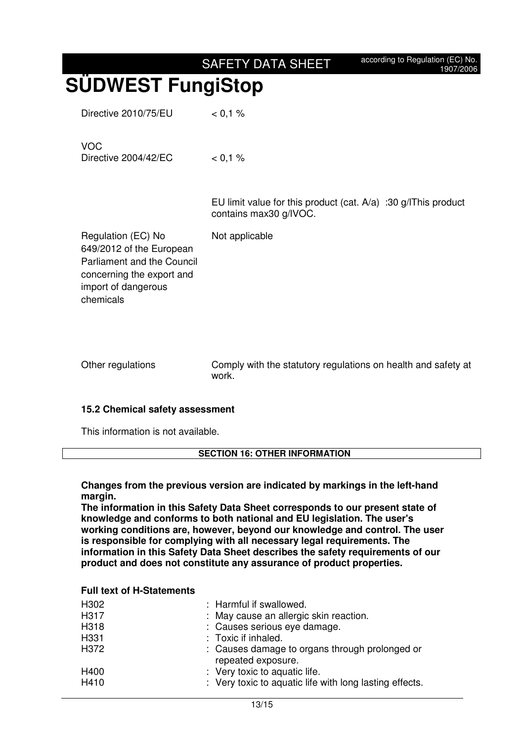# **SÜDWEST FungiStop**

Directive 2010/75/EU < 0,1 %

| <b>VOC</b><br>Directive 2004/42/EC | $0.1\%$                                                                                     |
|------------------------------------|---------------------------------------------------------------------------------------------|
|                                    | EU limit value for this product (cat. $A/a$ ) :30 g/lThis product<br>contains max30 g/IVOC. |

Not applicable

Regulation (EC) No 649/2012 of the European Parliament and the Council concerning the export and import of dangerous chemicals

Other regulations Comply with the statutory regulations on health and safety at work.

#### **15.2 Chemical safety assessment**

This information is not available.

#### **SECTION 16: OTHER INFORMATION**

#### **Changes from the previous version are indicated by markings in the left-hand margin.**

**The information in this Safety Data Sheet corresponds to our present state of knowledge and conforms to both national and EU legislation. The user's working conditions are, however, beyond our knowledge and control. The user is responsible for complying with all necessary legal requirements. The information in this Safety Data Sheet describes the safety requirements of our product and does not constitute any assurance of product properties.** 

#### **Full text of H-Statements**

| H302 | : Harmful if swallowed.                                              |
|------|----------------------------------------------------------------------|
| H317 | : May cause an allergic skin reaction.                               |
| H318 | : Causes serious eye damage.                                         |
| H331 | : Toxic if inhaled.                                                  |
| H372 | : Causes damage to organs through prolonged or<br>repeated exposure. |
| H400 | : Very toxic to aquatic life.                                        |
| H410 | : Very toxic to aquatic life with long lasting effects.              |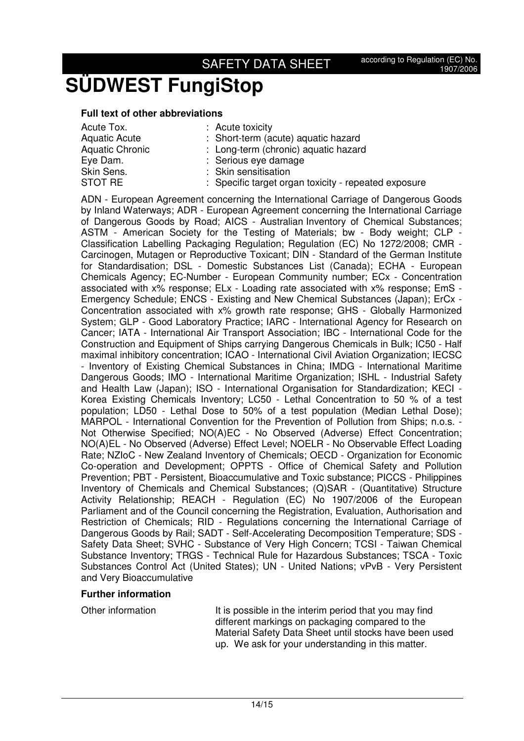# **SÜDWEST FungiStop**

#### **Full text of other abbreviations**

- 
- Acute Tox. : Acute toxicity Aquatic Acute : Short-term (acute) aquatic hazard Aquatic Chronic : Long-term (chronic) aquatic hazard Eve Dam.  $\qquad \qquad :$  Serious eve damage Skin Sens. : Skin sensitisation STOT RE : Specific target organ toxicity - repeated exposure

ADN - European Agreement concerning the International Carriage of Dangerous Goods by Inland Waterways; ADR - European Agreement concerning the International Carriage of Dangerous Goods by Road; AICS - Australian Inventory of Chemical Substances; ASTM - American Society for the Testing of Materials; bw - Body weight; CLP - Classification Labelling Packaging Regulation; Regulation (EC) No 1272/2008; CMR - Carcinogen, Mutagen or Reproductive Toxicant; DIN - Standard of the German Institute for Standardisation; DSL - Domestic Substances List (Canada); ECHA - European Chemicals Agency; EC-Number - European Community number; ECx - Concentration associated with x% response; ELx - Loading rate associated with x% response; EmS - Emergency Schedule; ENCS - Existing and New Chemical Substances (Japan); ErCx - Concentration associated with x% growth rate response; GHS - Globally Harmonized System; GLP - Good Laboratory Practice; IARC - International Agency for Research on Cancer; IATA - International Air Transport Association; IBC - International Code for the Construction and Equipment of Ships carrying Dangerous Chemicals in Bulk; IC50 - Half maximal inhibitory concentration; ICAO - International Civil Aviation Organization; IECSC - Inventory of Existing Chemical Substances in China; IMDG - International Maritime Dangerous Goods; IMO - International Maritime Organization; ISHL - Industrial Safety and Health Law (Japan); ISO - International Organisation for Standardization; KECI - Korea Existing Chemicals Inventory; LC50 - Lethal Concentration to 50 % of a test population; LD50 - Lethal Dose to 50% of a test population (Median Lethal Dose); MARPOL - International Convention for the Prevention of Pollution from Ships; n.o.s. - Not Otherwise Specified; NO(A)EC - No Observed (Adverse) Effect Concentration; NO(A)EL - No Observed (Adverse) Effect Level; NOELR - No Observable Effect Loading Rate; NZIoC - New Zealand Inventory of Chemicals; OECD - Organization for Economic Co-operation and Development; OPPTS - Office of Chemical Safety and Pollution Prevention; PBT - Persistent, Bioaccumulative and Toxic substance; PICCS - Philippines Inventory of Chemicals and Chemical Substances; (Q)SAR - (Quantitative) Structure Activity Relationship; REACH - Regulation (EC) No 1907/2006 of the European Parliament and of the Council concerning the Registration, Evaluation, Authorisation and Restriction of Chemicals; RID - Regulations concerning the International Carriage of Dangerous Goods by Rail; SADT - Self-Accelerating Decomposition Temperature; SDS - Safety Data Sheet; SVHC - Substance of Very High Concern; TCSI - Taiwan Chemical Substance Inventory; TRGS - Technical Rule for Hazardous Substances; TSCA - Toxic Substances Control Act (United States); UN - United Nations; vPvB - Very Persistent and Very Bioaccumulative

#### **Further information**

Other information It is possible in the interim period that you may find different markings on packaging compared to the Material Safety Data Sheet until stocks have been used up. We ask for your understanding in this matter.